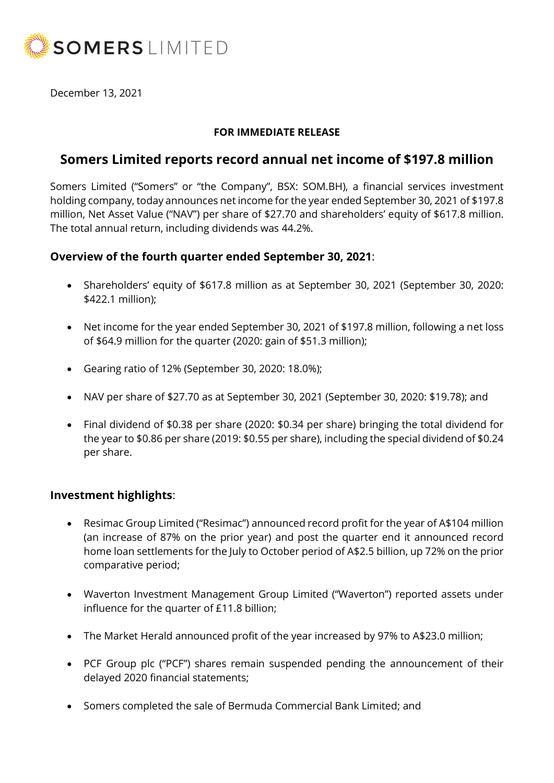

December 13, 2021

### **FOR IMMEDIATE RELEASE**

# **Somers Limited reports record annual net income of \$197.8 million**

Somers Limited ("Somers" or "the Company", BSX: SOM.BH), a financial services investment holding company, today announces net income for the year ended September 30, 2021 of \$197.8 million, Net Asset Value ("NAV") per share of \$27.70 and shareholders' equity of \$617.8 million. The total annual return, including dividends was 44.2%.

## **Overview of the fourth quarter ended September 30, 2021**:

- Shareholders' equity of \$617.8 million as at September 30, 2021 (September 30, 2020: \$422.1 million);
- Net income for the year ended September 30, 2021 of \$197.8 million, following a net loss of \$64.9 million for the quarter (2020: gain of \$51.3 million);
- Gearing ratio of 12% (September 30, 2020: 18.0%);
- NAV per share of \$27.70 as at September 30, 2021 (September 30, 2020: \$19.78); and
- Final dividend of \$0.38 per share (2020: \$0.34 per share) bringing the total dividend for the year to \$0.86 per share (2019: \$0.55 per share), including the special dividend of \$0.24 per share.

## **Investment highlights**:

- Resimac Group Limited ("Resimac") announced record profit for the year of A\$104 million (an increase of 87% on the prior year) and post the quarter end it announced record home loan settlements for the July to October period of A\$2.5 billion, up 72% on the prior comparative period;
- Waverton Investment Management Group Limited ("Waverton") reported assets under influence for the quarter of £11.8 billion;
- The Market Herald announced profit of the year increased by 97% to A\$23.0 million;
- PCF Group plc ("PCF") shares remain suspended pending the announcement of their delayed 2020 financial statements;
- Somers completed the sale of Bermuda Commercial Bank Limited; and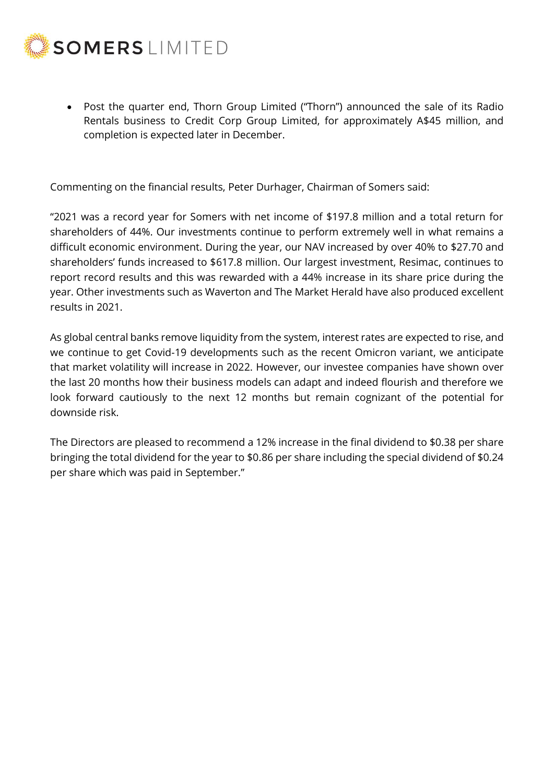

• Post the quarter end, Thorn Group Limited ("Thorn") announced the sale of its Radio Rentals business to Credit Corp Group Limited, for approximately A\$45 million, and completion is expected later in December.

Commenting on the financial results, Peter Durhager, Chairman of Somers said:

"2021 was a record year for Somers with net income of \$197.8 million and a total return for shareholders of 44%. Our investments continue to perform extremely well in what remains a difficult economic environment. During the year, our NAV increased by over 40% to \$27.70 and shareholders' funds increased to \$617.8 million. Our largest investment, Resimac, continues to report record results and this was rewarded with a 44% increase in its share price during the year. Other investments such as Waverton and The Market Herald have also produced excellent results in 2021.

As global central banks remove liquidity from the system, interest rates are expected to rise, and we continue to get Covid-19 developments such as the recent Omicron variant, we anticipate that market volatility will increase in 2022. However, our investee companies have shown over the last 20 months how their business models can adapt and indeed flourish and therefore we look forward cautiously to the next 12 months but remain cognizant of the potential for downside risk.

The Directors are pleased to recommend a 12% increase in the final dividend to \$0.38 per share bringing the total dividend for the year to \$0.86 per share including the special dividend of \$0.24 per share which was paid in September."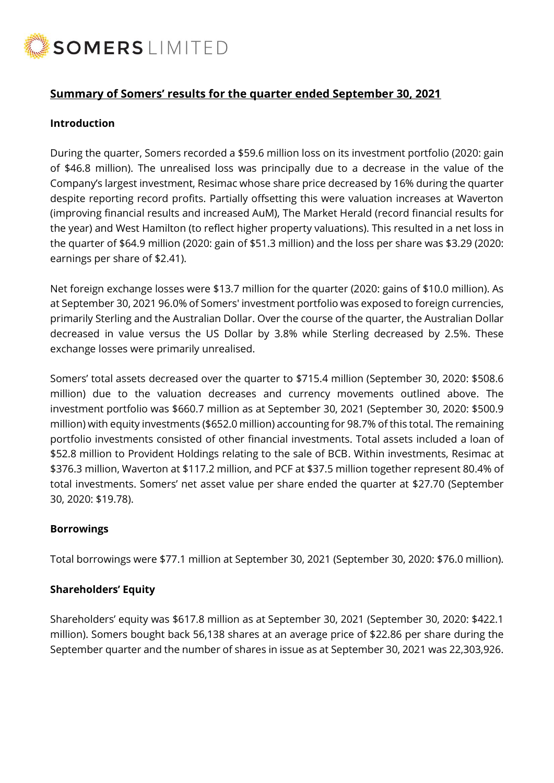

## **Summary of Somers' results for the quarter ended September 30, 2021**

#### **Introduction**

During the quarter, Somers recorded a \$59.6 million loss on its investment portfolio (2020: gain of \$46.8 million). The unrealised loss was principally due to a decrease in the value of the Company's largest investment, Resimac whose share price decreased by 16% during the quarter despite reporting record profits. Partially offsetting this were valuation increases at Waverton (improving financial results and increased AuM), The Market Herald (record financial results for the year) and West Hamilton (to reflect higher property valuations). This resulted in a net loss in the quarter of \$64.9 million (2020: gain of \$51.3 million) and the loss per share was \$3.29 (2020: earnings per share of \$2.41).

Net foreign exchange losses were \$13.7 million for the quarter (2020: gains of \$10.0 million). As at September 30, 2021 96.0% of Somers' investment portfolio was exposed to foreign currencies, primarily Sterling and the Australian Dollar. Over the course of the quarter, the Australian Dollar decreased in value versus the US Dollar by 3.8% while Sterling decreased by 2.5%. These exchange losses were primarily unrealised.

Somers' total assets decreased over the quarter to \$715.4 million (September 30, 2020: \$508.6 million) due to the valuation decreases and currency movements outlined above. The investment portfolio was \$660.7 million as at September 30, 2021 (September 30, 2020: \$500.9 million) with equity investments (\$652.0 million) accounting for 98.7% of this total. The remaining portfolio investments consisted of other financial investments. Total assets included a loan of \$52.8 million to Provident Holdings relating to the sale of BCB. Within investments, Resimac at \$376.3 million, Waverton at \$117.2 million, and PCF at \$37.5 million together represent 80.4% of total investments. Somers' net asset value per share ended the quarter at \$27.70 (September 30, 2020: \$19.78).

#### **Borrowings**

Total borrowings were \$77.1 million at September 30, 2021 (September 30, 2020: \$76.0 million).

#### **Shareholders' Equity**

Shareholders' equity was \$617.8 million as at September 30, 2021 (September 30, 2020: \$422.1 million). Somers bought back 56,138 shares at an average price of \$22.86 per share during the September quarter and the number of shares in issue as at September 30, 2021 was 22,303,926.